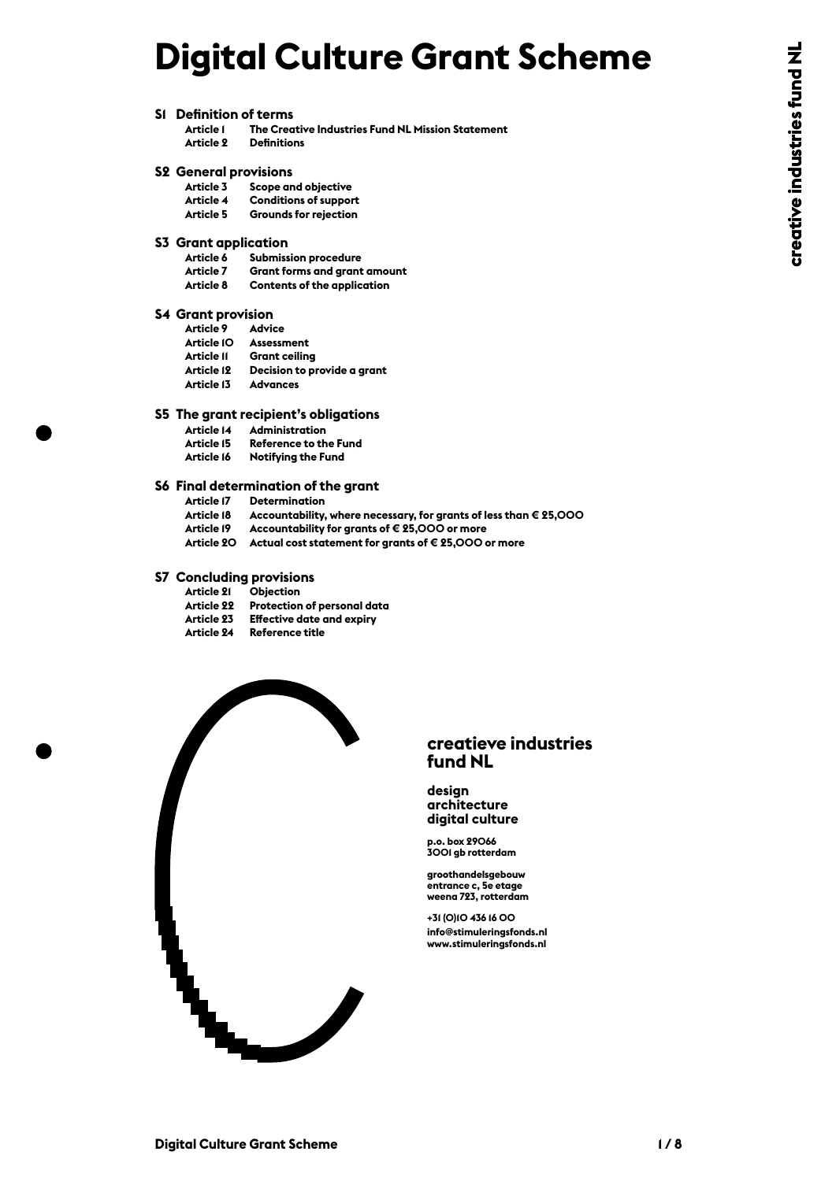# **Digital Culture Grant Scheme**

**S1 Definition of terms**

#### **S2 General provisions**

| Article 3 | Scope and objective          |
|-----------|------------------------------|
| Article 4 | <b>Conditions of support</b> |
| Artiela 5 | Grounde for rojection        |

## **S3 Grant application**

| Article I                            | The Creative Industries Fund NL Mission Statement                 |  |
|--------------------------------------|-------------------------------------------------------------------|--|
| Article 2                            | <b>Definitions</b>                                                |  |
| <b>S2 General provisions</b>         |                                                                   |  |
|                                      | Article 3 Scope and objective                                     |  |
| Article 4                            | <b>Conditions of support</b>                                      |  |
| <b>Article 5</b>                     | <b>Grounds for rejection</b>                                      |  |
| <b>S3</b> Grant application          |                                                                   |  |
| Article 6                            | <b>Submission procedure</b>                                       |  |
| Article 7                            | <b>Grant forms and grant amount</b>                               |  |
| Article 8                            | <b>Contents of the application</b>                                |  |
| <b>S4 Grant provision</b>            |                                                                   |  |
| Article 9 Advice                     |                                                                   |  |
|                                      | Article IO Assessment                                             |  |
|                                      | Article II Grant ceiling                                          |  |
|                                      | Article 12 Decision to provide a grant                            |  |
| Article 13 Advances                  |                                                                   |  |
| S5 The grant recipient's obligations |                                                                   |  |
|                                      | Article 14 Administration                                         |  |
|                                      | Article 15 Reference to the Fund                                  |  |
| Article 16                           | <b>Notifying the Fund</b>                                         |  |
|                                      | S6 Final determination of the grant                               |  |
|                                      | <b>Article 17 Determination</b>                                   |  |
| Article 18                           | Accountability, where necessary, for grants of less than € 25,000 |  |
| Article 19                           | Accountability for grants of € 25,000 or more                     |  |
|                                      | Article 20 Actual cost statement for grants of €25,000 or more    |  |
|                                      | <b>S7 Concluding provisions</b>                                   |  |
| Article 21                           | <b>Objection</b>                                                  |  |
|                                      | Article 22 Protection of personal data                            |  |
|                                      | Article 23 Effective date and expiry                              |  |
| Article 24                           | <b>Reference title</b>                                            |  |
|                                      |                                                                   |  |

- -
- 
- 

| <b>Article 21</b> | <b>Objection</b>                 |
|-------------------|----------------------------------|
| <b>Article 22</b> | Protection of personal data      |
| Article 23        | <b>Effective date and expiry</b> |
| <b>Article 24</b> | Reference title                  |



#### **creatieve industries fund NL**

#### **design architecture digital culture**

**p.o. box 29066 3001 gb rotterdam**

**groothandelsgebouw entrance c, 5e etage weena 723, rotterdam**

**+31 (0)10 436 16 00 info@stimuleringsfonds.nl**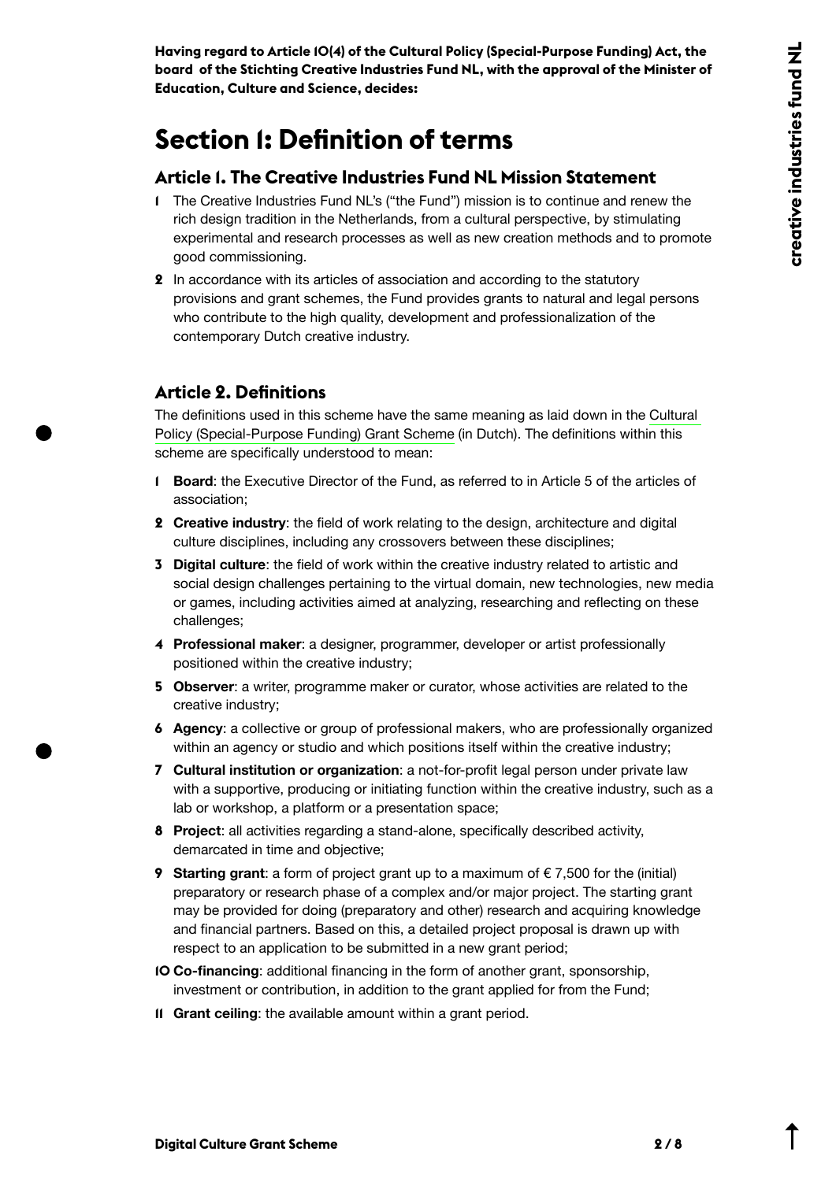**Having regard to Article 10(4) of the Cultural Policy (Special-Purpose Funding) Act, the board of the Stichting Creative Industries Fund NL, with the approval of the Minister of Education, Culture and Science, decides:**

## **Section 1: Definition of terms**

#### **Article 1. The Creative Industries Fund NL Mission Statement**

- **1** The Creative Industries Fund NL's ("the Fund") mission is to continue and renew the rich design tradition in the Netherlands, from a cultural perspective, by stimulating experimental and research processes as well as new creation methods and to promote good commissioning.
- **2** In accordance with its articles of association and according to the statutory provisions and grant schemes, the Fund provides grants to natural and legal persons who contribute to the high quality, development and professionalization of the contemporary Dutch creative industry.

#### **Article 2. Definitions**

The definitions used in this scheme have the same meaning as laid down in the [Cultural](https://wetten.overheid.nl/BWBR0027597/2020-09-08)  [Policy \(Special-Purpose Funding\) Grant Scheme](https://wetten.overheid.nl/BWBR0027597/2020-09-08) (in Dutch). The definitions within this scheme are specifically understood to mean:

- **1 Board**: the Executive Director of the Fund, as referred to in Article 5 of the articles of association;
- **2 Creative industry**: the field of work relating to the design, architecture and digital culture disciplines, including any crossovers between these disciplines;
- **3 Digital culture**: the field of work within the creative industry related to artistic and social design challenges pertaining to the virtual domain, new technologies, new media or games, including activities aimed at analyzing, researching and reflecting on these challenges;
- **4 Professional maker**: a designer, programmer, developer or artist professionally positioned within the creative industry;
- **5 Observer**: a writer, programme maker or curator, whose activities are related to the creative industry;
- **6 Agency**: a collective or group of professional makers, who are professionally organized within an agency or studio and which positions itself within the creative industry;
- **7 Cultural institution or organization**: a not-for-profit legal person under private law with a supportive, producing or initiating function within the creative industry, such as a lab or workshop, a platform or a presentation space;
- **8 Project**: all activities regarding a stand-alone, specifically described activity, demarcated in time and objective;
- **9 Starting grant**: a form of project grant up to a maximum of €7,500 for the (initial) preparatory or research phase of a complex and/or major project. The starting grant may be provided for doing (preparatory and other) research and acquiring knowledge and financial partners. Based on this, a detailed project proposal is drawn up with respect to an application to be submitted in a new grant period;
- **10 Co-financing**: additional financing in the form of another grant, sponsorship, investment or contribution, in addition to the grant applied for from the Fund;
- **11 Grant ceiling**: the available amount within a grant period.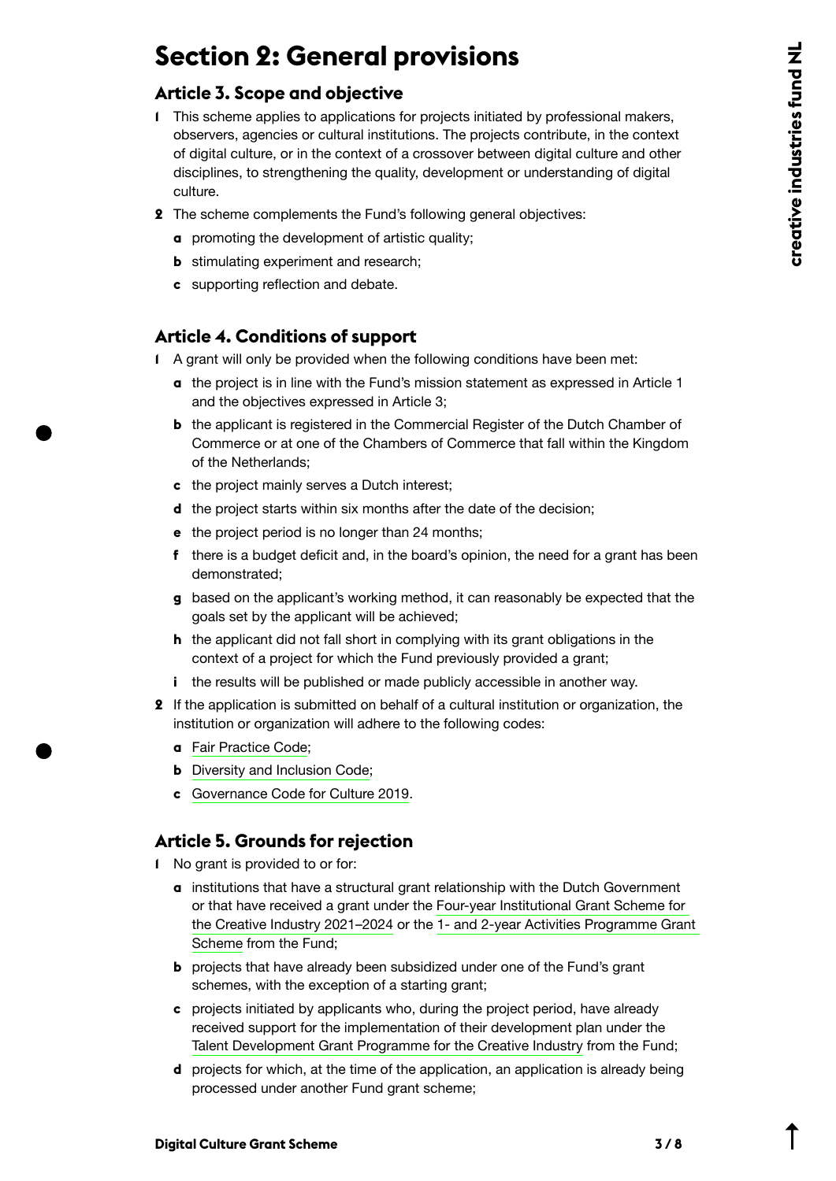## **Section 2: General provisions**

#### **Article 3. Scope and objective**

- **1** This scheme applies to applications for projects initiated by professional makers, observers, agencies or cultural institutions. The projects contribute, in the context of digital culture, or in the context of a crossover between digital culture and other disciplines, to strengthening the quality, development or understanding of digital culture.
- **2** The scheme complements the Fund's following general objectives:
	- **a** promoting the development of artistic quality;
	- **b** stimulating experiment and research;
	- **c** supporting reflection and debate.

#### **Article 4. Conditions of support**

- **1** A grant will only be provided when the following conditions have been met:
	- **a** the project is in line with the Fund's mission statement as expressed in Article 1 and the objectives expressed in Article 3;
	- **b** the applicant is registered in the Commercial Register of the Dutch Chamber of Commerce or at one of the Chambers of Commerce that fall within the Kingdom of the Netherlands;
	- **c** the project mainly serves a Dutch interest;
	- **d** the project starts within six months after the date of the decision;
	- **e** the project period is no longer than 24 months;
	- **f** there is a budget deficit and, in the board's opinion, the need for a grant has been demonstrated;
	- **g** based on the applicant's working method, it can reasonably be expected that the goals set by the applicant will be achieved;
	- **h** the applicant did not fall short in complying with its grant obligations in the context of a project for which the Fund previously provided a grant;
	- **i** the results will be published or made publicly accessible in another way.
- **2** If the application is submitted on behalf of a cultural institution or organization, the institution or organization will adhere to the following codes:
	- **a** [Fair Practice Code](https://fairpracticecode.nl/nl);
	- **b** [Diversity and Inclusion Code](https://codeculturelediversiteit.com/wp-content/uploads/2019/11/Code-Diversiteit-Inclusie_DEF.pdf);
	- **c** [Governance Code for Culture 2019](https://bij.cultuur-ondernemen.nl/governance-code-cultuur/principe/introductie?gclid=EAIaIQobChMI_7e8oOjU7AIVh9KyCh3E2gsSEAAYASAAEgIEw_D_BwE).

### **Article 5. Grounds for rejection**

- **1** No grant is provided to or for:
	- **a** institutions that have a structural grant relationship with the Dutch Government or that have received a grant under the [Four-year Institutional Grant Scheme for](https://stimuleringsfonds.nl/en/grants/grant_programme_for_four_year_institutional_creative_industries_2021_2024/)  [the Creative Industry 2021–2024](https://stimuleringsfonds.nl/en/grants/grant_programme_for_four_year_institutional_creative_industries_2021_2024/) or the [1- and 2-year Activities Programme Grant](https://content.stimuleringsfonds.nl/files/gra/i_022/grantprogramme1and2jarigactivityprogramm.pdf/)  [Scheme f](https://content.stimuleringsfonds.nl/files/gra/i_022/grantprogramme1and2jarigactivityprogramm.pdf/)rom the Fund;
	- **b** projects that have already been subsidized under one of the Fund's grant schemes, with the exception of a starting grant;
	- **c** projects initiated by applicants who, during the project period, have already received support for the implementation of their development plan under the [Talent Development Grant Programme for the Creative Industry](https://content.stimuleringsfonds.nl/files/gra/i_005/scitalentdevelopmentgrantprogramme202120.pdf/) from the Fund;
	- **d** projects for which, at the time of the application, an application is already being processed under another Fund grant scheme;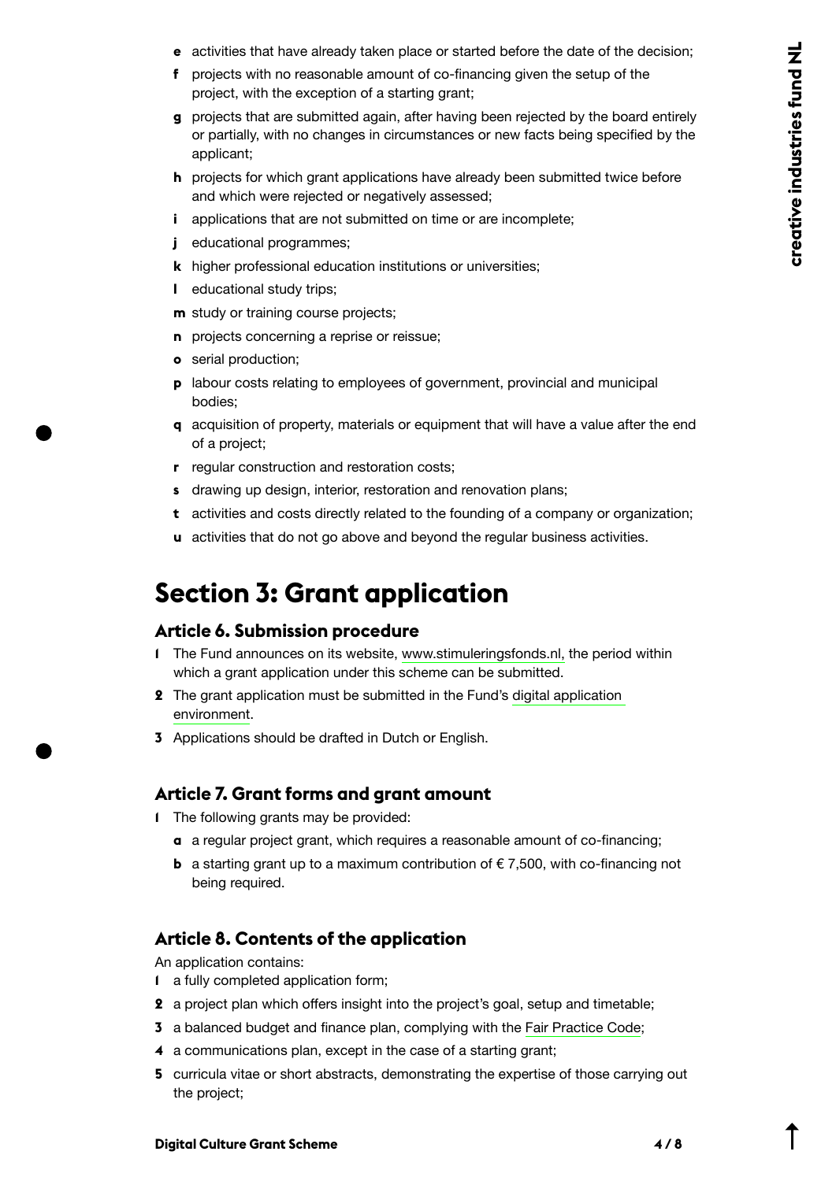- **e** activities that have already taken place or started before the date of the decision;
- **f** projects with no reasonable amount of co-financing given the setup of the project, with the exception of a starting grant;
- **g** projects that are submitted again, after having been rejected by the board entirely or partially, with no changes in circumstances or new facts being specified by the applicant;
- **h** projects for which grant applications have already been submitted twice before and which were rejected or negatively assessed;
- **i** applications that are not submitted on time or are incomplete;
- *j* educational programmes:
- **k** higher professional education institutions or universities;
- **l** educational study trips;
- **m** study or training course projects;
- **n** projects concerning a reprise or reissue;
- **o** serial production;
- **p** labour costs relating to employees of government, provincial and municipal bodies;
- **q** acquisition of property, materials or equipment that will have a value after the end of a project;
- **r** regular construction and restoration costs;
- **s** drawing up design, interior, restoration and renovation plans;
- **t** activities and costs directly related to the founding of a company or organization;
- **u** activities that do not go above and beyond the regular business activities.

## **Section 3: Grant application**

### **Article 6. Submission procedure**

- **1** The Fund announces on its website, [www.stimuleringsfonds.nl,](https://www.stimuleringsfonds.nl) the period within which a grant application under this scheme can be submitted.
- **2** The grant application must be submitted in the Fund's [digital application](https://aanvragen.stimuleringsfonds.nl/)  [environment](https://aanvragen.stimuleringsfonds.nl/).
- **3** Applications should be drafted in Dutch or English.

### **Article 7. Grant forms and grant amount**

- **1** The following grants may be provided:
	- **a** a regular project grant, which requires a reasonable amount of co-financing;
	- **b** a starting grant up to a maximum contribution of  $\epsilon$  7,500, with co-financing not being required.

### **Article 8. Contents of the application**

An application contains:

- **1** a fully completed application form;
- **2** a project plan which offers insight into the project's goal, setup and timetable;
- **3** a balanced budget and finance plan, complying with the [Fair Practice Code;](https://fairpracticecode.nl/nl)
- **4** a communications plan, except in the case of a starting grant;
- **5** curricula vitae or short abstracts, demonstrating the expertise of those carrying out the project;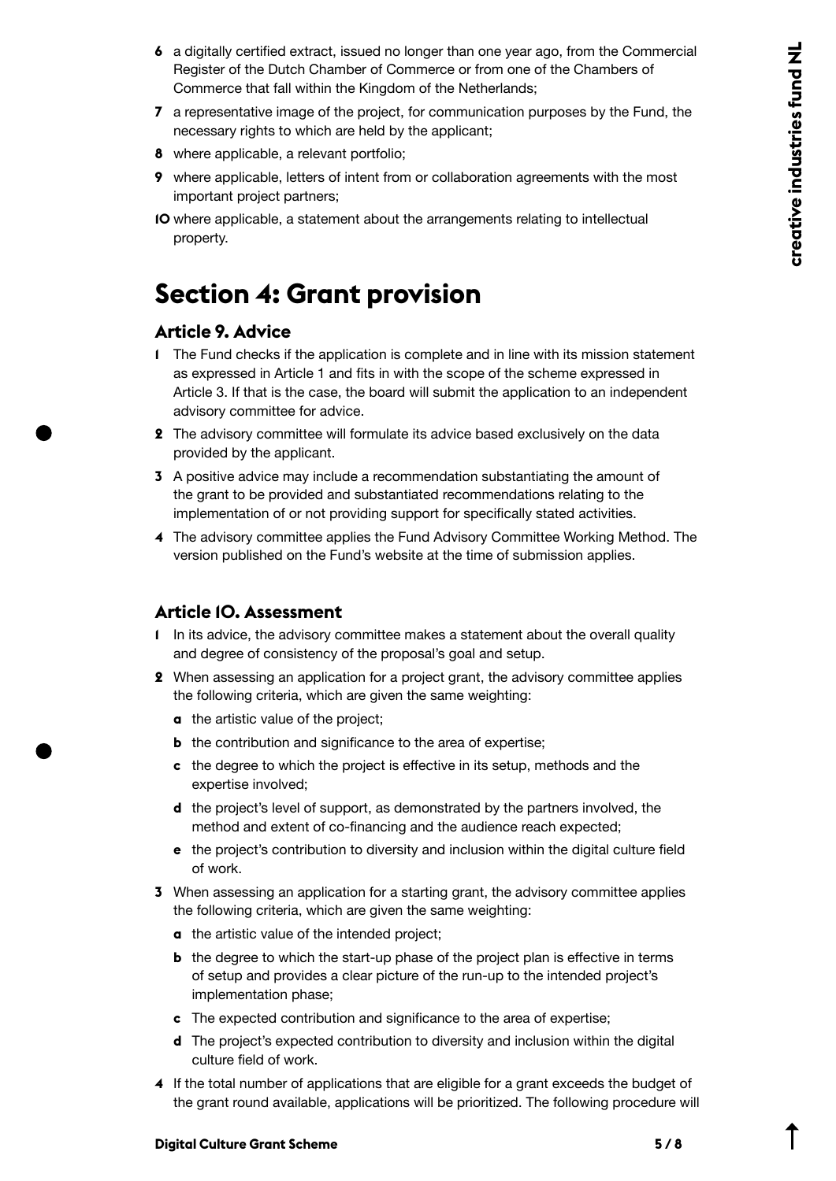- **6** a digitally certified extract, issued no longer than one year ago, from the Commercial Register of the Dutch Chamber of Commerce or from one of the Chambers of Commerce that fall within the Kingdom of the Netherlands;
- **7** a representative image of the project, for communication purposes by the Fund, the necessary rights to which are held by the applicant;
- **8** where applicable, a relevant portfolio;
- **9** where applicable, letters of intent from or collaboration agreements with the most important project partners;
- **10** where applicable, a statement about the arrangements relating to intellectual property.

## **Section 4: Grant provision**

#### **Article 9. Advice**

- **1** The Fund checks if the application is complete and in line with its mission statement as expressed in Article 1 and fits in with the scope of the scheme expressed in Article 3. If that is the case, the board will submit the application to an independent advisory committee for advice.
- **2** The advisory committee will formulate its advice based exclusively on the data provided by the applicant.
- **3** A positive advice may include a recommendation substantiating the amount of the grant to be provided and substantiated recommendations relating to the implementation of or not providing support for specifically stated activities.
- **4** The advisory committee applies the Fund Advisory Committee Working Method. The version published on the Fund's website at the time of submission applies.

### **Article 10. Assessment**

- **1** In its advice, the advisory committee makes a statement about the overall quality and degree of consistency of the proposal's goal and setup.
- **2** When assessing an application for a project grant, the advisory committee applies the following criteria, which are given the same weighting:
	- **a** the artistic value of the project;
	- **b** the contribution and significance to the area of expertise;
	- **c** the degree to which the project is effective in its setup, methods and the expertise involved;
	- **d** the project's level of support, as demonstrated by the partners involved, the method and extent of co-financing and the audience reach expected;
	- **e** the project's contribution to diversity and inclusion within the digital culture field of work.
- **3** When assessing an application for a starting grant, the advisory committee applies the following criteria, which are given the same weighting:
	- **a** the artistic value of the intended project;
	- **b** the degree to which the start-up phase of the project plan is effective in terms of setup and provides a clear picture of the run-up to the intended project's implementation phase;
	- **c** The expected contribution and significance to the area of expertise;
	- **d** The project's expected contribution to diversity and inclusion within the digital culture field of work.
- **4** If the total number of applications that are eligible for a grant exceeds the budget of the grant round available, applications will be prioritized. The following procedure will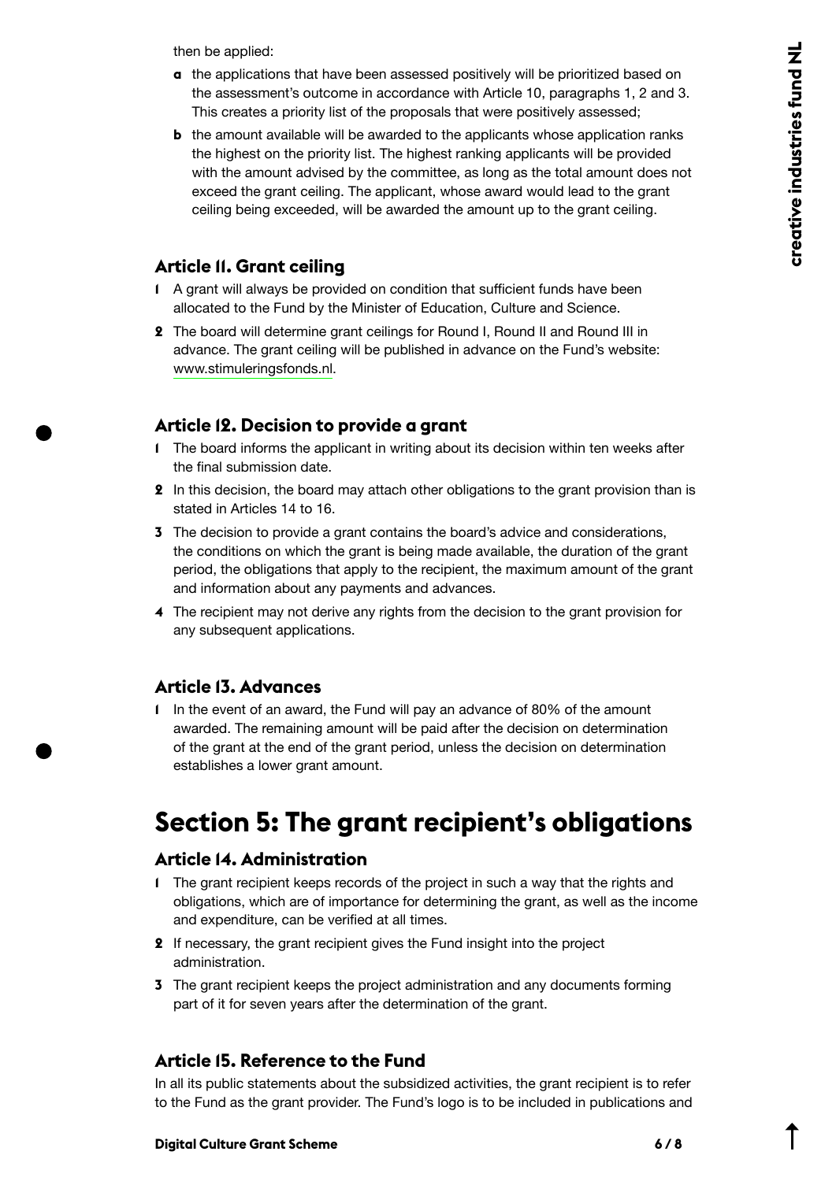then be applied:

- **a** the applications that have been assessed positively will be prioritized based on the assessment's outcome in accordance with Article 10, paragraphs 1, 2 and 3. This creates a priority list of the proposals that were positively assessed;
- **b** the amount available will be awarded to the applicants whose application ranks the highest on the priority list. The highest ranking applicants will be provided with the amount advised by the committee, as long as the total amount does not exceed the grant ceiling. The applicant, whose award would lead to the grant ceiling being exceeded, will be awarded the amount up to the grant ceiling.

#### **Article 11. Grant ceiling**

- **1** A grant will always be provided on condition that sufficient funds have been allocated to the Fund by the Minister of Education, Culture and Science.
- **2** The board will determine grant ceilings for Round I, Round II and Round III in advance. The grant ceiling will be published in advance on the Fund's website: [www.stimuleringsfonds.nl.](https://www.stimuleringsfonds.nl)

### **Article 12. Decision to provide a grant**

- **1** The board informs the applicant in writing about its decision within ten weeks after the final submission date.
- **2** In this decision, the board may attach other obligations to the grant provision than is stated in Articles 14 to 16.
- **3** The decision to provide a grant contains the board's advice and considerations, the conditions on which the grant is being made available, the duration of the grant period, the obligations that apply to the recipient, the maximum amount of the grant and information about any payments and advances.
- **4** The recipient may not derive any rights from the decision to the grant provision for any subsequent applications.

### **Article 13. Advances**

**1** In the event of an award, the Fund will pay an advance of 80% of the amount awarded. The remaining amount will be paid after the decision on determination of the grant at the end of the grant period, unless the decision on determination establishes a lower grant amount.

## **Section 5: The grant recipient's obligations**

#### **Article 14. Administration**

- **1** The grant recipient keeps records of the project in such a way that the rights and obligations, which are of importance for determining the grant, as well as the income and expenditure, can be verified at all times.
- **2** If necessary, the grant recipient gives the Fund insight into the project administration.
- **3** The grant recipient keeps the project administration and any documents forming part of it for seven years after the determination of the grant.

### **Article 15. Reference to the Fund**

In all its public statements about the subsidized activities, the grant recipient is to refer to the Fund as the grant provider. The Fund's logo is to be included in publications and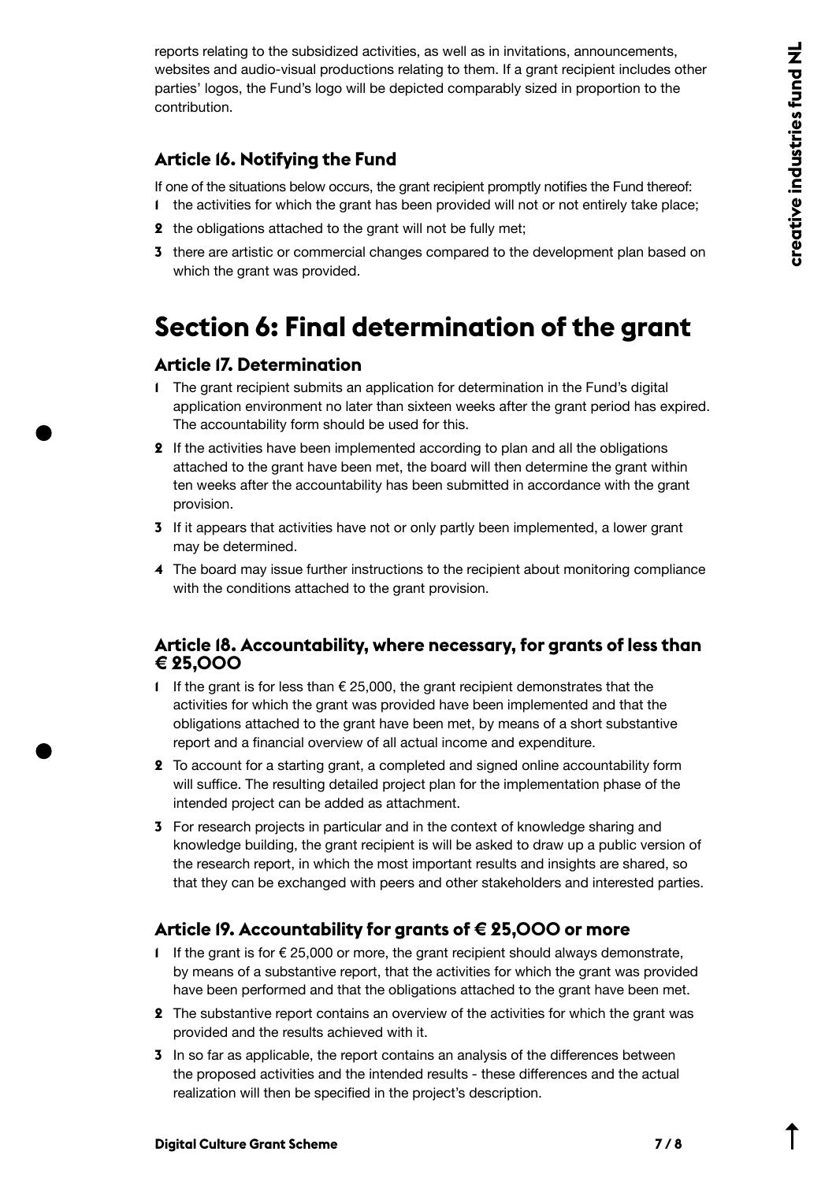reports relating to the subsidized activities, as well as in invitations, announcements, websites and audio-visual productions relating to them. If a grant recipient includes other parties' logos, the Fund's logo will be depicted comparably sized in proportion to the contribution.

### **Article 16. Notifying the Fund**

If one of the situations below occurs, the grant recipient promptly notifies the Fund thereof:

- **1** the activities for which the grant has been provided will not or not entirely take place;
- **2** the obligations attached to the grant will not be fully met;
- **3** there are artistic or commercial changes compared to the development plan based on which the grant was provided.

## **Section 6: Final determination of the grant**

### **Article 17. Determination**

- **1** The grant recipient submits an application for determination in the Fund's digital application environment no later than sixteen weeks after the grant period has expired. The accountability form should be used for this.
- **2** If the activities have been implemented according to plan and all the obligations attached to the grant have been met, the board will then determine the grant within ten weeks after the accountability has been submitted in accordance with the grant provision.
- **3** If it appears that activities have not or only partly been implemented, a lower grant may be determined.
- **4** The board may issue further instructions to the recipient about monitoring compliance with the conditions attached to the grant provision.

#### **Article 18. Accountability, where necessary, for grants of less than € 25,000**

- **1** If the grant is for less than € 25,000, the grant recipient demonstrates that the activities for which the grant was provided have been implemented and that the obligations attached to the grant have been met, by means of a short substantive report and a financial overview of all actual income and expenditure.
- **2** To account for a starting grant, a completed and signed online accountability form will suffice. The resulting detailed project plan for the implementation phase of the intended project can be added as attachment.
- **3** For research projects in particular and in the context of knowledge sharing and knowledge building, the grant recipient is will be asked to draw up a public version of the research report, in which the most important results and insights are shared, so that they can be exchanged with peers and other stakeholders and interested parties.

### **Article 19. Accountability for grants of € 25,000 or more**

- **1** If the grant is for € 25,000 or more, the grant recipient should always demonstrate, by means of a substantive report, that the activities for which the grant was provided have been performed and that the obligations attached to the grant have been met.
- **2** The substantive report contains an overview of the activities for which the grant was provided and the results achieved with it.
- **3** In so far as applicable, the report contains an analysis of the differences between the proposed activities and the intended results - these differences and the actual realization will then be specified in the project's description.